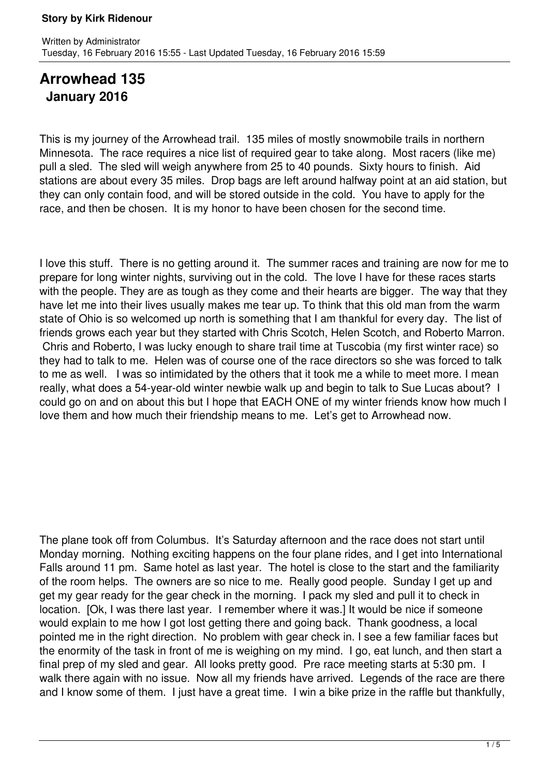# **Arrowhead 135 January 2016**

This is my journey of the Arrowhead trail. 135 miles of mostly snowmobile trails in northern Minnesota. The race requires a nice list of required gear to take along. Most racers (like me) pull a sled. The sled will weigh anywhere from 25 to 40 pounds. Sixty hours to finish. Aid stations are about every 35 miles. Drop bags are left around halfway point at an aid station, but they can only contain food, and will be stored outside in the cold. You have to apply for the race, and then be chosen. It is my honor to have been chosen for the second time.

I love this stuff. There is no getting around it. The summer races and training are now for me to prepare for long winter nights, surviving out in the cold. The love I have for these races starts with the people. They are as tough as they come and their hearts are bigger. The way that they have let me into their lives usually makes me tear up. To think that this old man from the warm state of Ohio is so welcomed up north is something that I am thankful for every day. The list of friends grows each year but they started with Chris Scotch, Helen Scotch, and Roberto Marron. Chris and Roberto, I was lucky enough to share trail time at Tuscobia (my first winter race) so they had to talk to me. Helen was of course one of the race directors so she was forced to talk to me as well. I was so intimidated by the others that it took me a while to meet more. I mean really, what does a 54-year-old winter newbie walk up and begin to talk to Sue Lucas about? I could go on and on about this but I hope that EACH ONE of my winter friends know how much I love them and how much their friendship means to me. Let's get to Arrowhead now.

The plane took off from Columbus. It's Saturday afternoon and the race does not start until Monday morning. Nothing exciting happens on the four plane rides, and I get into International Falls around 11 pm. Same hotel as last year. The hotel is close to the start and the familiarity of the room helps. The owners are so nice to me. Really good people. Sunday I get up and get my gear ready for the gear check in the morning. I pack my sled and pull it to check in location. [Ok, I was there last year. I remember where it was.] It would be nice if someone would explain to me how I got lost getting there and going back. Thank goodness, a local pointed me in the right direction. No problem with gear check in. I see a few familiar faces but the enormity of the task in front of me is weighing on my mind. I go, eat lunch, and then start a final prep of my sled and gear. All looks pretty good. Pre race meeting starts at 5:30 pm. I walk there again with no issue. Now all my friends have arrived. Legends of the race are there and I know some of them. I just have a great time. I win a bike prize in the raffle but thankfully,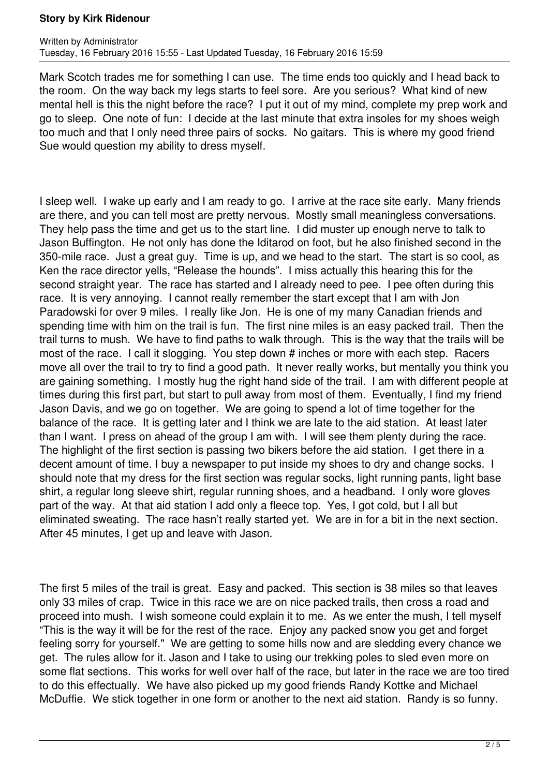Mark Scotch trades me for something I can use. The time ends too quickly and I head back to the room. On the way back my legs starts to feel sore. Are you serious? What kind of new mental hell is this the night before the race? I put it out of my mind, complete my prep work and go to sleep. One note of fun: I decide at the last minute that extra insoles for my shoes weigh too much and that I only need three pairs of socks. No gaitars. This is where my good friend Sue would question my ability to dress myself.

I sleep well. I wake up early and I am ready to go. I arrive at the race site early. Many friends are there, and you can tell most are pretty nervous. Mostly small meaningless conversations. They help pass the time and get us to the start line. I did muster up enough nerve to talk to Jason Buffington. He not only has done the Iditarod on foot, but he also finished second in the 350-mile race. Just a great guy. Time is up, and we head to the start. The start is so cool, as Ken the race director yells, "Release the hounds". I miss actually this hearing this for the second straight year. The race has started and I already need to pee. I pee often during this race. It is very annoying. I cannot really remember the start except that I am with Jon Paradowski for over 9 miles. I really like Jon. He is one of my many Canadian friends and spending time with him on the trail is fun. The first nine miles is an easy packed trail. Then the trail turns to mush. We have to find paths to walk through. This is the way that the trails will be most of the race. I call it slogging. You step down # inches or more with each step. Racers move all over the trail to try to find a good path. It never really works, but mentally you think you are gaining something. I mostly hug the right hand side of the trail. I am with different people at times during this first part, but start to pull away from most of them. Eventually, I find my friend Jason Davis, and we go on together. We are going to spend a lot of time together for the balance of the race. It is getting later and I think we are late to the aid station. At least later than I want. I press on ahead of the group I am with. I will see them plenty during the race. The highlight of the first section is passing two bikers before the aid station. I get there in a decent amount of time. I buy a newspaper to put inside my shoes to dry and change socks. I should note that my dress for the first section was regular socks, light running pants, light base shirt, a regular long sleeve shirt, regular running shoes, and a headband. I only wore gloves part of the way. At that aid station I add only a fleece top. Yes, I got cold, but I all but eliminated sweating. The race hasn't really started yet. We are in for a bit in the next section. After 45 minutes, I get up and leave with Jason.

The first 5 miles of the trail is great. Easy and packed. This section is 38 miles so that leaves only 33 miles of crap. Twice in this race we are on nice packed trails, then cross a road and proceed into mush. I wish someone could explain it to me. As we enter the mush, I tell myself "This is the way it will be for the rest of the race. Enjoy any packed snow you get and forget feeling sorry for yourself." We are getting to some hills now and are sledding every chance we get. The rules allow for it. Jason and I take to using our trekking poles to sled even more on some flat sections. This works for well over half of the race, but later in the race we are too tired to do this effectually. We have also picked up my good friends Randy Kottke and Michael McDuffie. We stick together in one form or another to the next aid station. Randy is so funny.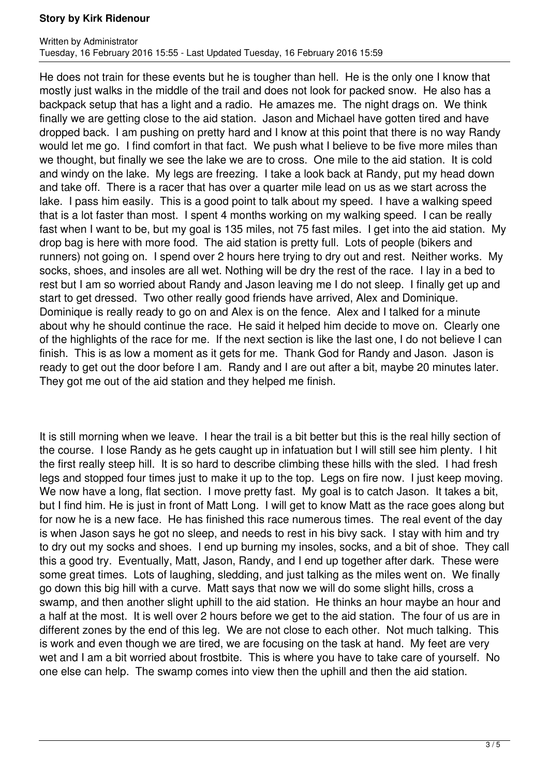He does not train for these events but he is tougher than hell. He is the only one I know that mostly just walks in the middle of the trail and does not look for packed snow. He also has a backpack setup that has a light and a radio. He amazes me. The night drags on. We think finally we are getting close to the aid station. Jason and Michael have gotten tired and have dropped back. I am pushing on pretty hard and I know at this point that there is no way Randy would let me go. I find comfort in that fact. We push what I believe to be five more miles than we thought, but finally we see the lake we are to cross. One mile to the aid station. It is cold and windy on the lake. My legs are freezing. I take a look back at Randy, put my head down and take off. There is a racer that has over a quarter mile lead on us as we start across the lake. I pass him easily. This is a good point to talk about my speed. I have a walking speed that is a lot faster than most. I spent 4 months working on my walking speed. I can be really fast when I want to be, but my goal is 135 miles, not 75 fast miles. I get into the aid station. My drop bag is here with more food. The aid station is pretty full. Lots of people (bikers and runners) not going on. I spend over 2 hours here trying to dry out and rest. Neither works. My socks, shoes, and insoles are all wet. Nothing will be dry the rest of the race. I lay in a bed to rest but I am so worried about Randy and Jason leaving me I do not sleep. I finally get up and start to get dressed. Two other really good friends have arrived, Alex and Dominique. Dominique is really ready to go on and Alex is on the fence. Alex and I talked for a minute about why he should continue the race. He said it helped him decide to move on. Clearly one of the highlights of the race for me. If the next section is like the last one, I do not believe I can finish. This is as low a moment as it gets for me. Thank God for Randy and Jason. Jason is ready to get out the door before I am. Randy and I are out after a bit, maybe 20 minutes later. They got me out of the aid station and they helped me finish.

It is still morning when we leave. I hear the trail is a bit better but this is the real hilly section of the course. I lose Randy as he gets caught up in infatuation but I will still see him plenty. I hit the first really steep hill. It is so hard to describe climbing these hills with the sled. I had fresh legs and stopped four times just to make it up to the top. Legs on fire now. I just keep moving. We now have a long, flat section. I move pretty fast. My goal is to catch Jason. It takes a bit, but I find him. He is just in front of Matt Long. I will get to know Matt as the race goes along but for now he is a new face. He has finished this race numerous times. The real event of the day is when Jason says he got no sleep, and needs to rest in his bivy sack. I stay with him and try to dry out my socks and shoes. I end up burning my insoles, socks, and a bit of shoe. They call this a good try. Eventually, Matt, Jason, Randy, and I end up together after dark. These were some great times. Lots of laughing, sledding, and just talking as the miles went on. We finally go down this big hill with a curve. Matt says that now we will do some slight hills, cross a swamp, and then another slight uphill to the aid station. He thinks an hour maybe an hour and a half at the most. It is well over 2 hours before we get to the aid station. The four of us are in different zones by the end of this leg. We are not close to each other. Not much talking. This is work and even though we are tired, we are focusing on the task at hand. My feet are very wet and I am a bit worried about frostbite. This is where you have to take care of yourself. No one else can help. The swamp comes into view then the uphill and then the aid station.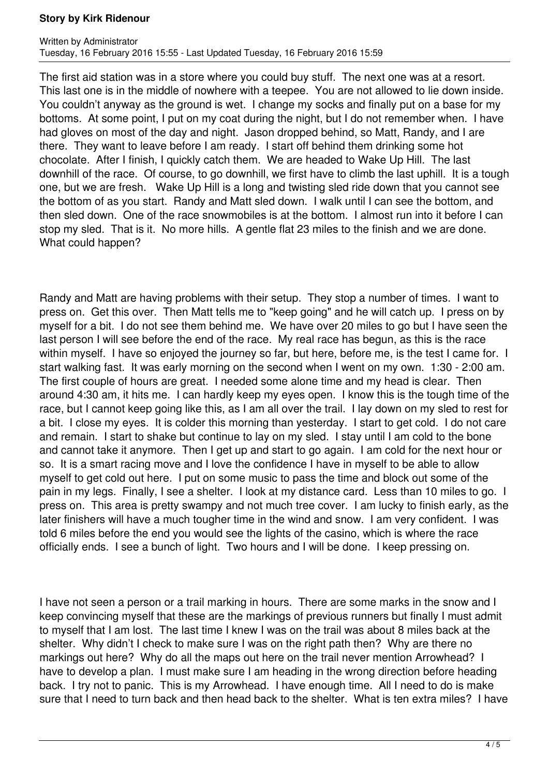The first aid station was in a store where you could buy stuff. The next one was at a resort. This last one is in the middle of nowhere with a teepee. You are not allowed to lie down inside. You couldn't anyway as the ground is wet. I change my socks and finally put on a base for my bottoms. At some point, I put on my coat during the night, but I do not remember when. I have had gloves on most of the day and night. Jason dropped behind, so Matt, Randy, and I are there. They want to leave before I am ready. I start off behind them drinking some hot chocolate. After I finish, I quickly catch them. We are headed to Wake Up Hill. The last downhill of the race. Of course, to go downhill, we first have to climb the last uphill. It is a tough one, but we are fresh. Wake Up Hill is a long and twisting sled ride down that you cannot see the bottom of as you start. Randy and Matt sled down. I walk until I can see the bottom, and then sled down. One of the race snowmobiles is at the bottom. I almost run into it before I can stop my sled. That is it. No more hills. A gentle flat 23 miles to the finish and we are done. What could happen?

Randy and Matt are having problems with their setup. They stop a number of times. I want to press on. Get this over. Then Matt tells me to "keep going" and he will catch up. I press on by myself for a bit. I do not see them behind me. We have over 20 miles to go but I have seen the last person I will see before the end of the race. My real race has begun, as this is the race within myself. I have so enjoyed the journey so far, but here, before me, is the test I came for. I start walking fast. It was early morning on the second when I went on my own. 1:30 - 2:00 am. The first couple of hours are great. I needed some alone time and my head is clear. Then around 4:30 am, it hits me. I can hardly keep my eyes open. I know this is the tough time of the race, but I cannot keep going like this, as I am all over the trail. I lay down on my sled to rest for a bit. I close my eyes. It is colder this morning than yesterday. I start to get cold. I do not care and remain. I start to shake but continue to lay on my sled. I stay until I am cold to the bone and cannot take it anymore. Then I get up and start to go again. I am cold for the next hour or so. It is a smart racing move and I love the confidence I have in myself to be able to allow myself to get cold out here. I put on some music to pass the time and block out some of the pain in my legs. Finally, I see a shelter. I look at my distance card. Less than 10 miles to go. I press on. This area is pretty swampy and not much tree cover. I am lucky to finish early, as the later finishers will have a much tougher time in the wind and snow. I am very confident. I was told 6 miles before the end you would see the lights of the casino, which is where the race officially ends. I see a bunch of light. Two hours and I will be done. I keep pressing on.

I have not seen a person or a trail marking in hours. There are some marks in the snow and I keep convincing myself that these are the markings of previous runners but finally I must admit to myself that I am lost. The last time I knew I was on the trail was about 8 miles back at the shelter. Why didn't I check to make sure I was on the right path then? Why are there no markings out here? Why do all the maps out here on the trail never mention Arrowhead? I have to develop a plan. I must make sure I am heading in the wrong direction before heading back. I try not to panic. This is my Arrowhead. I have enough time. All I need to do is make sure that I need to turn back and then head back to the shelter. What is ten extra miles? I have